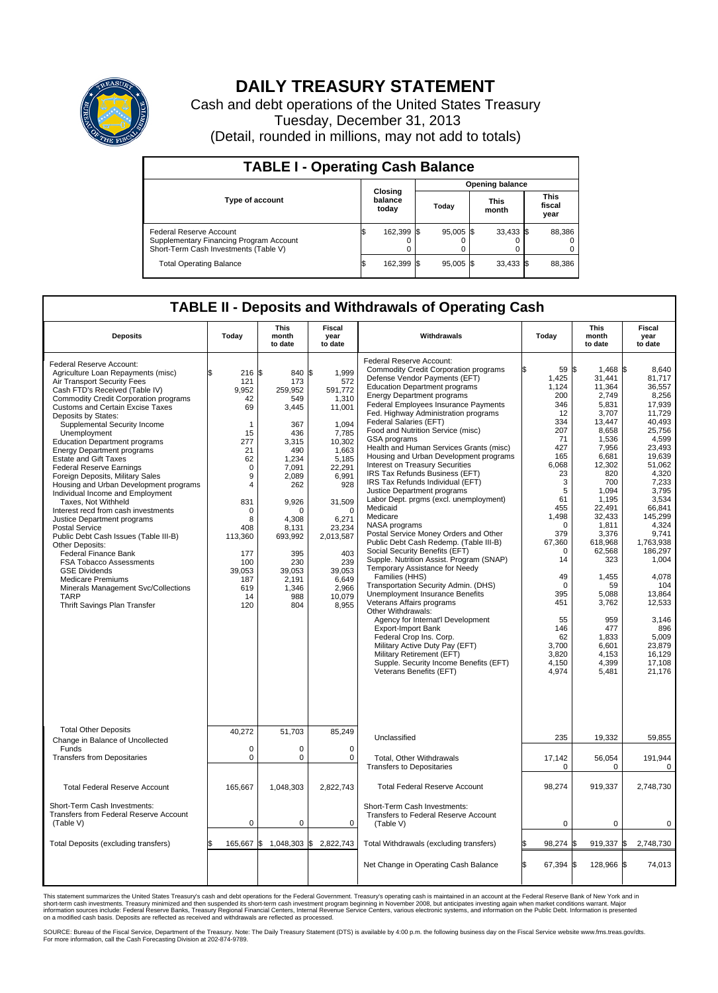

## **DAILY TREASURY STATEMENT**

Cash and debt operations of the United States Treasury Tuesday, December 31, 2013 (Detail, rounded in millions, may not add to totals)

| <b>TABLE I - Operating Cash Balance</b>                                                                     |     |                             |       |             |  |                      |  |                               |  |  |  |  |  |
|-------------------------------------------------------------------------------------------------------------|-----|-----------------------------|-------|-------------|--|----------------------|--|-------------------------------|--|--|--|--|--|
| <b>Opening balance</b>                                                                                      |     |                             |       |             |  |                      |  |                               |  |  |  |  |  |
| Type of account                                                                                             |     | Closing<br>balance<br>today | Today |             |  | <b>This</b><br>month |  | <b>This</b><br>fiscal<br>year |  |  |  |  |  |
| Federal Reserve Account<br>Supplementary Financing Program Account<br>Short-Term Cash Investments (Table V) |     | 162,399 \$                  |       | 95.005 \$   |  | $33,433$ \$          |  | 88,386                        |  |  |  |  |  |
| <b>Total Operating Balance</b>                                                                              | I\$ | 162,399 \$                  |       | $95,005$ \$ |  | $33,433$ \$          |  | 88,386                        |  |  |  |  |  |

### **TABLE II - Deposits and Withdrawals of Operating Cash**

| <b>Deposits</b>                                                                                                                                                                                                                                                                                                                                                                                                                                                                                                                                                                                                                                                                                                                                                                                                                                                                                                                             | Today                                                                                                                                                                               | <b>This</b><br>month<br>to date                                                                                                                                                                             | <b>Fiscal</b><br>year<br>to date                                                                                                                                                                                                      | Withdrawals                                                                                                                                                                                                                                                                                                                                                                                                                                                                                                                                                                                                                                                                                                                                                                                                                                                                                                                                                                                                                                                                                                                                                                                                                                               | Today                                                                                                                                                                                                                                                                       | <b>This</b><br>month<br>to date                                                                                                                                                                                                                                                                                 | <b>Fiscal</b><br>year<br>to date                                                                                                                                                                                                                                                                                                   |
|---------------------------------------------------------------------------------------------------------------------------------------------------------------------------------------------------------------------------------------------------------------------------------------------------------------------------------------------------------------------------------------------------------------------------------------------------------------------------------------------------------------------------------------------------------------------------------------------------------------------------------------------------------------------------------------------------------------------------------------------------------------------------------------------------------------------------------------------------------------------------------------------------------------------------------------------|-------------------------------------------------------------------------------------------------------------------------------------------------------------------------------------|-------------------------------------------------------------------------------------------------------------------------------------------------------------------------------------------------------------|---------------------------------------------------------------------------------------------------------------------------------------------------------------------------------------------------------------------------------------|-----------------------------------------------------------------------------------------------------------------------------------------------------------------------------------------------------------------------------------------------------------------------------------------------------------------------------------------------------------------------------------------------------------------------------------------------------------------------------------------------------------------------------------------------------------------------------------------------------------------------------------------------------------------------------------------------------------------------------------------------------------------------------------------------------------------------------------------------------------------------------------------------------------------------------------------------------------------------------------------------------------------------------------------------------------------------------------------------------------------------------------------------------------------------------------------------------------------------------------------------------------|-----------------------------------------------------------------------------------------------------------------------------------------------------------------------------------------------------------------------------------------------------------------------------|-----------------------------------------------------------------------------------------------------------------------------------------------------------------------------------------------------------------------------------------------------------------------------------------------------------------|------------------------------------------------------------------------------------------------------------------------------------------------------------------------------------------------------------------------------------------------------------------------------------------------------------------------------------|
| Federal Reserve Account:<br>Agriculture Loan Repayments (misc)<br>Air Transport Security Fees<br>Cash FTD's Received (Table IV)<br><b>Commodity Credit Corporation programs</b><br><b>Customs and Certain Excise Taxes</b><br>Deposits by States:<br>Supplemental Security Income<br>Unemployment<br><b>Education Department programs</b><br><b>Energy Department programs</b><br><b>Estate and Gift Taxes</b><br><b>Federal Reserve Earnings</b><br>Foreign Deposits, Military Sales<br>Housing and Urban Development programs<br>Individual Income and Employment<br>Taxes. Not Withheld<br>Interest recd from cash investments<br>Justice Department programs<br>Postal Service<br>Public Debt Cash Issues (Table III-B)<br>Other Deposits:<br>Federal Finance Bank<br><b>FSA Tobacco Assessments</b><br><b>GSE Dividends</b><br><b>Medicare Premiums</b><br>Minerals Management Svc/Collections<br>TARP<br>Thrift Savings Plan Transfer | \$<br>216S<br>121<br>9.952<br>42<br>69<br>1<br>15<br>277<br>21<br>62<br>$\mathbf 0$<br>9<br>4<br>831<br>0<br>8<br>408<br>113,360<br>177<br>100<br>39,053<br>187<br>619<br>14<br>120 | 840 \$<br>173<br>259.952<br>549<br>3,445<br>367<br>436<br>3,315<br>490<br>1,234<br>7,091<br>2,089<br>262<br>9,926<br>O<br>4.308<br>8,131<br>693,992<br>395<br>230<br>39,053<br>2,191<br>1,346<br>988<br>804 | 1,999<br>572<br>591.772<br>1,310<br>11,001<br>1,094<br>7,785<br>10,302<br>1.663<br>5,185<br>22,291<br>6,991<br>928<br>31,509<br>$\Omega$<br>6,271<br>23,234<br>2,013,587<br>403<br>239<br>39,053<br>6,649<br>2,966<br>10,079<br>8,955 | Federal Reserve Account:<br><b>Commodity Credit Corporation programs</b><br>Defense Vendor Payments (EFT)<br><b>Education Department programs</b><br><b>Energy Department programs</b><br>Federal Employees Insurance Payments<br>Fed. Highway Administration programs<br>Federal Salaries (EFT)<br>Food and Nutrition Service (misc)<br>GSA programs<br>Health and Human Services Grants (misc)<br>Housing and Urban Development programs<br>Interest on Treasury Securities<br>IRS Tax Refunds Business (EFT)<br>IRS Tax Refunds Individual (EFT)<br>Justice Department programs<br>Labor Dept. prgms (excl. unemployment)<br>Medicaid<br>Medicare<br>NASA programs<br>Postal Service Money Orders and Other<br>Public Debt Cash Redemp. (Table III-B)<br>Social Security Benefits (EFT)<br>Supple. Nutrition Assist. Program (SNAP)<br>Temporary Assistance for Needy<br>Families (HHS)<br>Transportation Security Admin. (DHS)<br><b>Unemployment Insurance Benefits</b><br>Veterans Affairs programs<br>Other Withdrawals:<br>Agency for Internat'l Development<br>Export-Import Bank<br>Federal Crop Ins. Corp.<br>Military Active Duty Pay (EFT)<br>Military Retirement (EFT)<br>Supple. Security Income Benefits (EFT)<br>Veterans Benefits (EFT) | 59 \$<br>1,425<br>1,124<br>200<br>346<br>12<br>334<br>207<br>71<br>427<br>165<br>6,068<br>23<br>3<br>5<br>61<br>455<br>1,498<br>$\mathbf 0$<br>379<br>67,360<br>$\mathbf 0$<br>14<br>49<br>$\mathbf 0$<br>395<br>451<br>55<br>146<br>62<br>3,700<br>3,820<br>4,150<br>4,974 | $1.468$ \$<br>31,441<br>11,364<br>2,749<br>5,831<br>3,707<br>13,447<br>8.658<br>1,536<br>7,956<br>6,681<br>12,302<br>820<br>700<br>1,094<br>1,195<br>22.491<br>32,433<br>1,811<br>3,376<br>618,968<br>62,568<br>323<br>1,455<br>59<br>5,088<br>3,762<br>959<br>477<br>1,833<br>6,601<br>4,153<br>4,399<br>5,481 | 8.640<br>81,717<br>36,557<br>8,256<br>17,939<br>11,729<br>40.493<br>25.756<br>4,599<br>23.493<br>19.639<br>51,062<br>4,320<br>7,233<br>3,795<br>3,534<br>66.841<br>145,299<br>4,324<br>9,741<br>1.763.938<br>186,297<br>1,004<br>4,078<br>104<br>13,864<br>12,533<br>3.146<br>896<br>5,009<br>23,879<br>16.129<br>17,108<br>21,176 |
| <b>Total Other Deposits</b><br>Change in Balance of Uncollected                                                                                                                                                                                                                                                                                                                                                                                                                                                                                                                                                                                                                                                                                                                                                                                                                                                                             | 40,272                                                                                                                                                                              | 51,703                                                                                                                                                                                                      | 85,249                                                                                                                                                                                                                                | Unclassified                                                                                                                                                                                                                                                                                                                                                                                                                                                                                                                                                                                                                                                                                                                                                                                                                                                                                                                                                                                                                                                                                                                                                                                                                                              | 235                                                                                                                                                                                                                                                                         | 19,332                                                                                                                                                                                                                                                                                                          | 59,855                                                                                                                                                                                                                                                                                                                             |
| Funds<br><b>Transfers from Depositaries</b>                                                                                                                                                                                                                                                                                                                                                                                                                                                                                                                                                                                                                                                                                                                                                                                                                                                                                                 | $\mathbf 0$<br>$\pmb{0}$                                                                                                                                                            | 0<br>0                                                                                                                                                                                                      | 0<br>$\mathbf 0$                                                                                                                                                                                                                      | Total, Other Withdrawals<br><b>Transfers to Depositaries</b>                                                                                                                                                                                                                                                                                                                                                                                                                                                                                                                                                                                                                                                                                                                                                                                                                                                                                                                                                                                                                                                                                                                                                                                              | 17,142<br>$\mathbf 0$                                                                                                                                                                                                                                                       | 56,054<br>$\mathbf 0$                                                                                                                                                                                                                                                                                           | 191,944<br>$\mathbf 0$                                                                                                                                                                                                                                                                                                             |
| <b>Total Federal Reserve Account</b>                                                                                                                                                                                                                                                                                                                                                                                                                                                                                                                                                                                                                                                                                                                                                                                                                                                                                                        | 165,667                                                                                                                                                                             | 1,048,303                                                                                                                                                                                                   | 2,822,743                                                                                                                                                                                                                             | <b>Total Federal Reserve Account</b>                                                                                                                                                                                                                                                                                                                                                                                                                                                                                                                                                                                                                                                                                                                                                                                                                                                                                                                                                                                                                                                                                                                                                                                                                      | 98,274                                                                                                                                                                                                                                                                      | 919,337                                                                                                                                                                                                                                                                                                         | 2.748.730                                                                                                                                                                                                                                                                                                                          |
| Short-Term Cash Investments:<br>Transfers from Federal Reserve Account<br>(Table V)                                                                                                                                                                                                                                                                                                                                                                                                                                                                                                                                                                                                                                                                                                                                                                                                                                                         | $\mathbf 0$                                                                                                                                                                         | 0                                                                                                                                                                                                           | 0                                                                                                                                                                                                                                     | Short-Term Cash Investments:<br>Transfers to Federal Reserve Account<br>(Table V)                                                                                                                                                                                                                                                                                                                                                                                                                                                                                                                                                                                                                                                                                                                                                                                                                                                                                                                                                                                                                                                                                                                                                                         | 0                                                                                                                                                                                                                                                                           | $\mathbf 0$                                                                                                                                                                                                                                                                                                     | 0                                                                                                                                                                                                                                                                                                                                  |
| Total Deposits (excluding transfers)                                                                                                                                                                                                                                                                                                                                                                                                                                                                                                                                                                                                                                                                                                                                                                                                                                                                                                        | 165,667<br>\$                                                                                                                                                                       | 1,048,303 \$<br>ß.                                                                                                                                                                                          | 2,822,743                                                                                                                                                                                                                             | Total Withdrawals (excluding transfers)                                                                                                                                                                                                                                                                                                                                                                                                                                                                                                                                                                                                                                                                                                                                                                                                                                                                                                                                                                                                                                                                                                                                                                                                                   | 98,274 \$                                                                                                                                                                                                                                                                   | 919,337 \$                                                                                                                                                                                                                                                                                                      | 2,748,730                                                                                                                                                                                                                                                                                                                          |
|                                                                                                                                                                                                                                                                                                                                                                                                                                                                                                                                                                                                                                                                                                                                                                                                                                                                                                                                             |                                                                                                                                                                                     |                                                                                                                                                                                                             |                                                                                                                                                                                                                                       | Net Change in Operating Cash Balance                                                                                                                                                                                                                                                                                                                                                                                                                                                                                                                                                                                                                                                                                                                                                                                                                                                                                                                                                                                                                                                                                                                                                                                                                      | l\$<br>67,394 \$                                                                                                                                                                                                                                                            | 128,966 \$                                                                                                                                                                                                                                                                                                      | 74,013                                                                                                                                                                                                                                                                                                                             |

This statement summarizes the United States Treasury's cash and debt operations for the Federal Government. Treasury's operating cash is maintained in an account at the Federal Reserve Bank of New York and in<br>information s

SOURCE: Bureau of the Fiscal Service, Department of the Treasury. Note: The Daily Treasury Statement (DTS) is available by 4:00 p.m. the following business day on the Fiscal Service website www.fms.treas.gov/dts.<br>For more